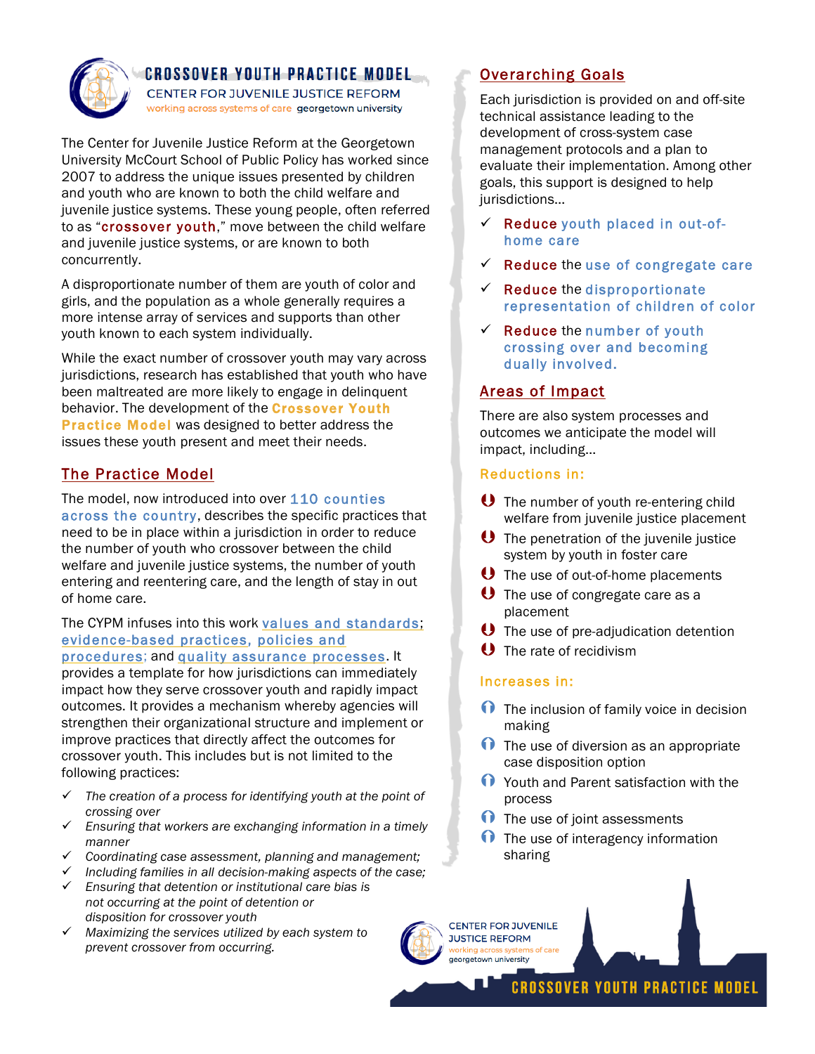

## **CROSSOVER YOUTH PRACTICE MODEL**

CENTER FOR JUVENILE JUSTICE REFORM working across systems of care georgetown university

The Center for Juvenile Justice Reform at the Georgetown University McCourt School of Public Policy has worked since 2007 to address the unique issues presented by children and youth who are known to both the child welfare and juvenile justice systems. These young people, often referred to as "crossover youth," move between the child welfare and juvenile justice systems, or are known to both concurrently.

A disproportionate number of them are youth of color and girls, and the population as a whole generally requires a more intense array of services and supports than other youth known to each system individually.

While the exact number of crossover youth may vary across jurisdictions, research has established that youth who have been maltreated are more likely to engage in delinquent behavior. The development of the **Crossover Youth Practice Model** was designed to better address the issues these youth present and meet their needs.

# The Practice Model

The model, now introduced into over 110 counties across the country, describes the specific practices that need to be in place within a jurisdiction in order to reduce the number of youth who crossover between the child welfare and juvenile justice systems, the number of youth entering and reentering care, and the length of stay in out of home care.

# The CYPM infuses into this work values and standards; evidence-based practices, policies and

procedures; and quality assurance processes. It provides a template for how jurisdictions can immediately impact how they serve crossover youth and rapidly impact outcomes. It provides a mechanism whereby agencies will strengthen their organizational structure and implement or improve practices that directly affect the outcomes for crossover youth. This includes but is not limited to the following practices:

- ü *The creation of a process for identifying youth at the point of crossing over*
- ü *Ensuring that workers are exchanging information in a timely manner*
- ü *Coordinating case assessment, planning and management;*
- ü *Including families in all decision-making aspects of the case;*
- ü *Ensuring that detention or institutional care bias is not occurring at the point of detention or disposition for crossover youth*
- ü *Maximizing the services utilized by each system to prevent crossover from occurring.*

# Overarching Goals

Each jurisdiction is provided on and off-site technical assistance leading to the development of cross-system case management protocols and a plan to evaluate their implementation. Among other goals, this support is designed to help jurisdictions…

- $\checkmark$  Reduce youth placed in out-ofhome care
- $\checkmark$  Reduce the use of congregate care
- $\checkmark$  Reduce the disproportionate representation of children of color
- $\checkmark$  Reduce the number of youth crossing over and becoming dually involved.

## Areas of Impact

There are also system processes and outcomes we anticipate the model will impact, including…

#### Reductions in:

- **U** The number of youth re-entering child welfare from juvenile justice placement
- **U** The penetration of the juvenile justice system by youth in foster care
- **U** The use of out-of-home placements
- **U** The use of congregate care as a placement
- **U** The use of pre-adjudication detention
- **U** The rate of recidivism

## Increases in:

- $\bigcap$  The inclusion of family voice in decision making
- $\bigcap$  The use of diversion as an appropriate case disposition option
- **T** Youth and Parent satisfaction with the process
- $\bigcap$  The use of joint assessments
- $\bigcap$  The use of interagency information sharing



**CROSSOVER YOUTH PRACTICE MODEL**